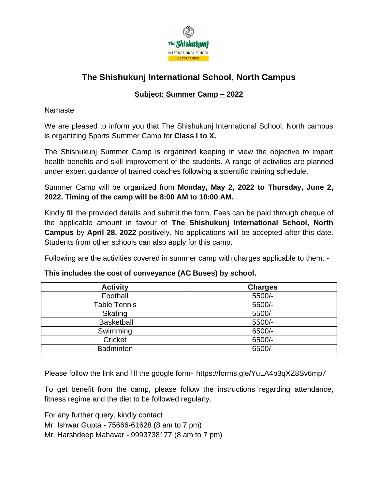

## **The Shishukunj International School, North Campus**

### **Subject: Summer Camp – 2022**

#### Namaste

We are pleased to inform you that The Shishukunj International School, North campus is organizing Sports Summer Camp for **Class I to X.** 

The Shishukunj Summer Camp is organized keeping in view the objective to impart health benefits and skill improvement of the students. A range of activities are planned under expert guidance of trained coaches following a scientific training schedule.

Summer Camp will be organized from **Monday, May 2, 2022 to Thursday, June 2, 2022. Timing of the camp will be 8:00 AM to 10:00 AM.** 

Kindly fill the provided details and submit the form. Fees can be paid through cheque of the applicable amount in favour of **The Shishukunj International School, North Campus** by **April 28, 2022** positively. No applications will be accepted after this date. Students from other schools can also apply for this camp.

Following are the activities covered in summer camp with charges applicable to them: -

| <b>Activity</b>   | <b>Charges</b> |
|-------------------|----------------|
| Football          | 5500/-         |
| Table Tennis      | 5500/-         |
| Skating           | 5500/-         |
| <b>Basketball</b> | 5500/-         |
| Swimming          | 6500/-         |
| Cricket           | 6500/-         |
| <b>Badminton</b>  | 6500/-         |

#### **This includes the cost of conveyance (AC Buses) by school.**

Please follow the link and fill the google form- https://forms.gle/YuLA4p3qXZ8Sv6mp7

To get benefit from the camp, please follow the instructions regarding attendance, fitness regime and the diet to be followed regularly.

For any further query, kindly contact Mr. Ishwar Gupta - 75666-61628 (8 am to 7 pm) Mr. Harshdeep Mahavar - 9993738177 (8 am to 7 pm)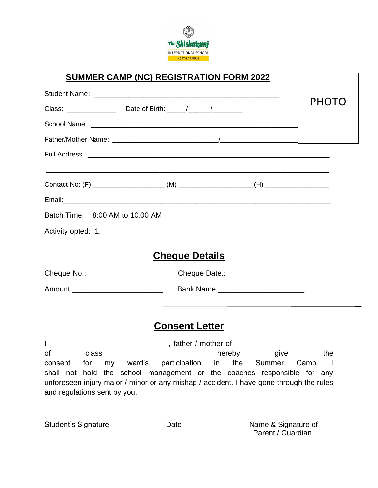

## **SUMMER CAMP (NC) REGISTRATION FORM 2022**

|                                  | Class: ________________________________Date of Birth: ______/___________________                                      | PHOTO |
|----------------------------------|-----------------------------------------------------------------------------------------------------------------------|-------|
|                                  |                                                                                                                       |       |
|                                  |                                                                                                                       |       |
|                                  |                                                                                                                       |       |
|                                  | <u> 1980 - Johann Stoff, amerikan bestein de stad in de stad in de stad in de stad in de stad in de stad in de st</u> |       |
|                                  |                                                                                                                       |       |
| Batch Time: 8:00 AM to 10.00 AM  |                                                                                                                       |       |
|                                  |                                                                                                                       |       |
|                                  | <b>Cheque Details</b>                                                                                                 |       |
| Cheque No.:_____________________ | Cheque Date.: ______________________                                                                                  |       |
|                                  |                                                                                                                       |       |
|                                  |                                                                                                                       |       |

## **Consent Letter**

I \_\_\_\_\_\_\_\_\_\_\_\_\_\_\_\_\_\_\_\_\_\_\_\_\_\_\_\_\_, father / mother of \_\_\_\_\_\_\_\_\_\_\_\_\_\_\_\_\_\_\_\_\_\_\_\_ of class \_\_\_\_\_\_\_\_\_\_\_ hereby give the consent for my ward's participation in the Summer Camp. I shall not hold the school management or the coaches responsible for any unforeseen injury major / minor or any mishap / accident. I have gone through the rules and regulations sent by you.

Student's Signature **Name & Signature of** Date Name & Signature of Parent / Guardian